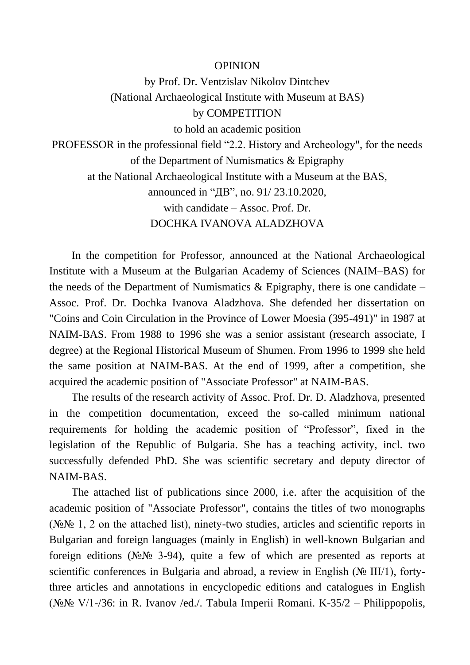## **OPINION**

by Prof. Dr. Ventzislav Nikolov Dintchev (National Archaeological Institute with Museum at BAS) by COMPETITION to hold an academic position PROFESSOR in the professional field "2.2. History and Archeology", for the needs of the Department of Numismatics & Epigraphy

at the National Archaeological Institute with a Museum at the BAS,

announced in "ДВ", no. 91/ 23.10.2020,

with candidate – Assoc. Prof. Dr.

DOCHKA IVANOVA ALADZHOVA

In the competition for Professor, announced at the National Archaeological Institute with a Museum at the Bulgarian Academy of Sciences (NAIM–BAS) for the needs of the Department of Numismatics  $\&$  Epigraphy, there is one candidate – Assoc. Prof. Dr. Dochka Ivanova Aladzhova. She defended her dissertation on "Coins and Coin Circulation in the Province of Lower Moesia (395-491)" in 1987 at NAIM-BAS. From 1988 to 1996 she was a senior assistant (research associate, I degree) at the Regional Historical Museum of Shumen. From 1996 to 1999 she held the same position at NAIM-BAS. At the end of 1999, after a competition, she acquired the academic position of "Associate Professor" at NAIM-BAS.

The results of the research activity of Assoc. Prof. Dr. D. Aladzhova, presented in the competition documentation, exceed the so-called minimum national requirements for holding the academic position of "Professor", fixed in the legislation of the Republic of Bulgaria. She has a teaching activity, incl. two successfully defended PhD. She was scientific secretary and deputy director of NAIM-BAS.

The attached list of publications since 2000, i.e. after the acquisition of the academic position of "Associate Professor", contains the titles of two monographs (№№ 1, 2 on the attached list), ninety-two studies, articles and scientific reports in Bulgarian and foreign languages (mainly in English) in well-known Bulgarian and foreign editions (№№ 3-94), quite a few of which are presented as reports at scientific conferences in Bulgaria and abroad, a review in English (№ III/1), fortythree articles and annotations in encyclopedic editions and catalogues in English (№№ V/1-/36: in R. Ivanov /ed./. Tabula Imperii Romani. K-35/2 – Philippopolis,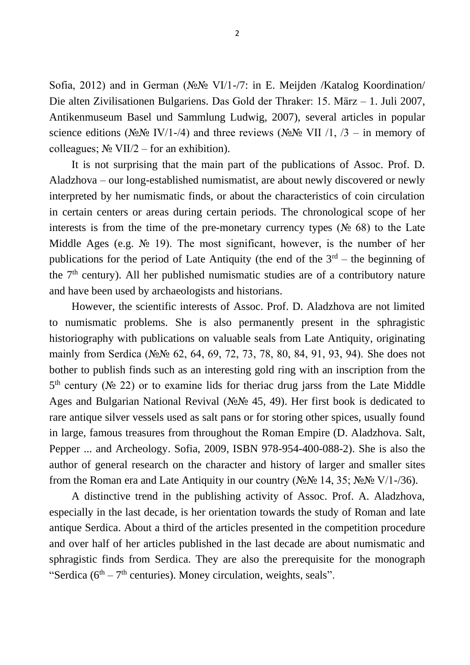Sofia, 2012) and in German (№№ VI/1-/7: in E. Meijden /Katalog Koordination/ Die alten Zivilisationen Bulgariens. Das Gold der Thraker: 15. März – 1. Juli 2007, Antikenmuseum Basel und Sammlung Ludwig, 2007), several articles in popular science editions (№№ IV/1-/4) and three reviews (№№ VII /1, /3 – in memory of colleagues;  $N_2$  VII/2 – for an exhibition).

It is not surprising that the main part of the publications of Assoc. Prof. D. Aladzhova – our long-established numismatist, are about newly discovered or newly interpreted by her numismatic finds, or about the characteristics of coin circulation in certain centers or areas during certain periods. The chronological scope of her interests is from the time of the pre-monetary currency types ( $N<sub>2</sub>$  68) to the Late Middle Ages (e.g.  $\mathbb{N}^{\circ}$  19). The most significant, however, is the number of her publications for the period of Late Antiquity (the end of the  $3<sup>rd</sup>$  – the beginning of the 7th century). All her published numismatic studies are of a contributory nature and have been used by archaeologists and historians.

However, the scientific interests of Assoc. Prof. D. Aladzhova are not limited to numismatic problems. She is also permanently present in the sphragistic historiography with publications on valuable seals from Late Antiquity, originating mainly from Serdica (№№ 62, 64, 69, 72, 73, 78, 80, 84, 91, 93, 94). She does not bother to publish finds such as an interesting gold ring with an inscription from the  $5<sup>th</sup>$  century ( $\mathcal{N}$ <sup>o</sup> 22) or to examine lids for theriac drug jarss from the Late Middle Ages and Bulgarian National Revival (№№ 45, 49). Her first book is dedicated to rare antique silver vessels used as salt pans or for storing other spices, usually found in large, famous treasures from throughout the Roman Empire (D. Aladzhova. Salt, Pepper ... and Archeology. Sofia, 2009, ISBN 978-954-400-088-2). She is also the author of general research on the character and history of larger and smaller sites from the Roman era and Late Antiquity in our country ( $N_2N_2$  14, 35;  $N_2N_2$  V/1-/36).

A distinctive trend in the publishing activity of Assoc. Prof. A. Aladzhova, especially in the last decade, is her orientation towards the study of Roman and late antique Serdica. About a third of the articles presented in the competition procedure and over half of her articles published in the last decade are about numismatic and sphragistic finds from Serdica. They are also the prerequisite for the monograph "Serdica ( $6<sup>th</sup> - 7<sup>th</sup>$  centuries). Money circulation, weights, seals".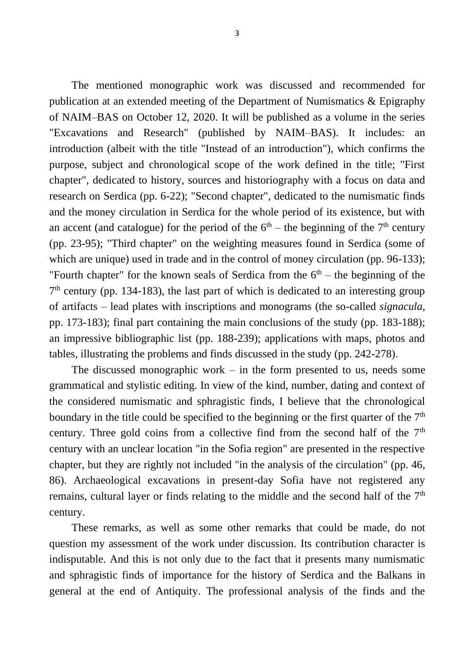The mentioned monographic work was discussed and recommended for publication at an extended meeting of the Department of Numismatics & Epigraphy of NAIM–BAS on October 12, 2020. It will be published as a volume in the series "Excavations and Research" (published by NAIM–BAS). It includes: an introduction (albeit with the title "Instead of an introduction"), which confirms the purpose, subject and chronological scope of the work defined in the title; "First chapter", dedicated to history, sources and historiography with a focus on data and research on Serdica (pp. 6-22); "Second chapter", dedicated to the numismatic finds and the money circulation in Serdica for the whole period of its existence, but with an accent (and catalogue) for the period of the  $6<sup>th</sup>$  – the beginning of the  $7<sup>th</sup>$  century (pp. 23-95); "Third chapter" on the weighting measures found in Serdica (some of which are unique) used in trade and in the control of money circulation (pp. 96-133); "Fourth chapter" for the known seals of Serdica from the  $6<sup>th</sup>$  – the beginning of the 7<sup>th</sup> century (pp. 134-183), the last part of which is dedicated to an interesting group of artifacts – lead plates with inscriptions and monograms (the so-called *signacula*, pp. 173-183); final part containing the main conclusions of the study (pp. 183-188); an impressive bibliographic list (pp. 188-239); applications with maps, photos and tables, illustrating the problems and finds discussed in the study (pp. 242-278).

The discussed monographic work – in the form presented to us, needs some grammatical and stylistic editing. In view of the kind, number, dating and context of the considered numismatic and sphragistic finds, I believe that the chronological boundary in the title could be specified to the beginning or the first quarter of the  $7<sup>th</sup>$ century. Three gold coins from a collective find from the second half of the 7<sup>th</sup> century with an unclear location "in the Sofia region" are presented in the respective chapter, but they are rightly not included "in the analysis of the circulation" (pp. 46, 86). Archaeological excavations in present-day Sofia have not registered any remains, cultural layer or finds relating to the middle and the second half of the 7<sup>th</sup> century.

These remarks, as well as some other remarks that could be made, do not question my assessment of the work under discussion. Its contribution character is indisputable. And this is not only due to the fact that it presents many numismatic and sphragistic finds of importance for the history of Serdica and the Balkans in general at the end of Antiquity. The professional analysis of the finds and the